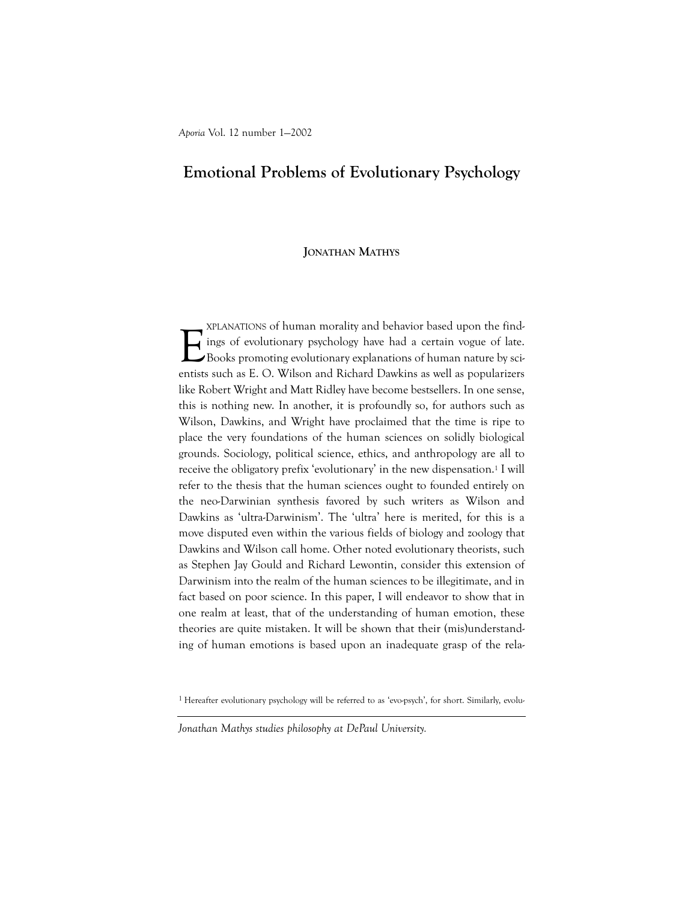# Emotional Problems of Evolutionary Psychology

## JONATHAN MATHYS

E XPLANATIONS of human morality and behavior based upon the findings of evolutionary psychology have had a certain vogue of late. Books promoting evolutionary explanations of human nature by scientists such as E. O. Wilson and Richard Dawkins as well as popularizers like Robert Wright and Matt Ridley have become bestsellers. In one sense, this is nothing new. In another, it is profoundly so, for authors such as Wilson, Dawkins, and Wright have proclaimed that the time is ripe to place the very foundations of the human sciences on solidly biological grounds. Sociology, political science, ethics, and anthropology are all to receive the obligatory prefix 'evolutionary' in the new dispensation.<sup>1</sup> I will refer to the thesis that the human sciences ought to founded entirely on the neo-Darwinian synthesis favored by such writers as Wilson and Dawkins as 'ultra-Darwinism'. The 'ultra' here is merited, for this is a move disputed even within the various fields of biology and zoology that Dawkins and Wilson call home. Other noted evolutionary theorists, such as Stephen Jay Gould and Richard Lewontin, consider this extension of Darwinism into the realm of the human sciences to be illegitimate, and in fact based on poor science. In this paper, I will endeavor to show that in one realm at least, that of the understanding of human emotion, these theories are quite mistaken. It will be shown that their (mis)understanding of human emotions is based upon an inadequate grasp of the rela-

<sup>1</sup> Hereafter evolutionary psychology will be referred to as 'evo-psych', for short. Similarly, evolu-

Jonathan Mathys studies philosophy at DePaul University.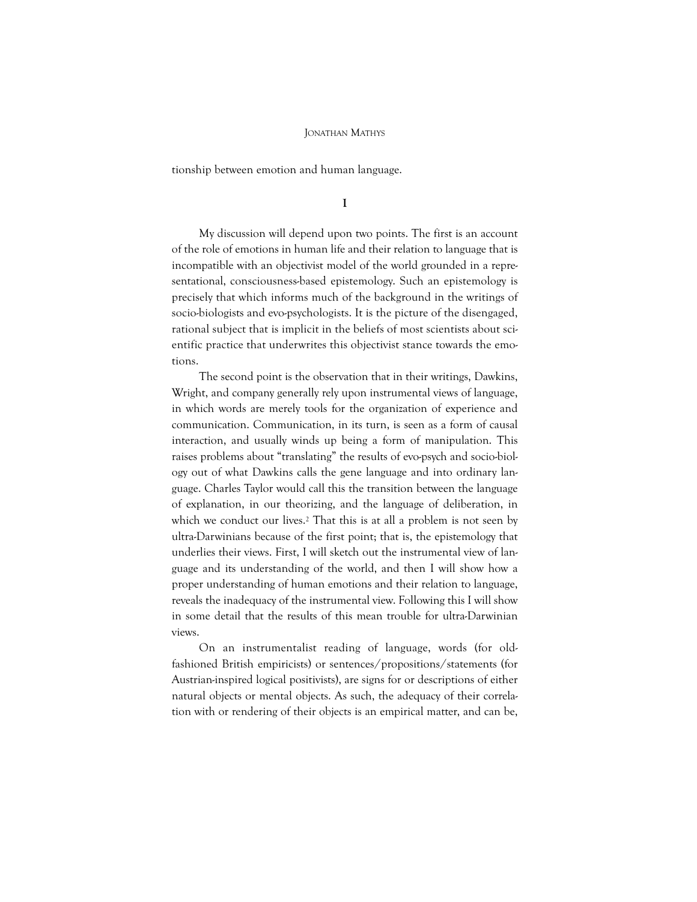tionship between emotion and human language.

I

My discussion will depend upon two points. The first is an account of the role of emotions in human life and their relation to language that is incompatible with an objectivist model of the world grounded in a representational, consciousness-based epistemology. Such an epistemology is precisely that which informs much of the background in the writings of socio-biologists and evo-psychologists. It is the picture of the disengaged, rational subject that is implicit in the beliefs of most scientists about scientific practice that underwrites this objectivist stance towards the emotions.

The second point is the observation that in their writings, Dawkins, Wright, and company generally rely upon instrumental views of language, in which words are merely tools for the organization of experience and communication. Communication, in its turn, is seen as a form of causal interaction, and usually winds up being a form of manipulation. This raises problems about "translating" the results of evo-psych and socio-biology out of what Dawkins calls the gene language and into ordinary language. Charles Taylor would call this the transition between the language of explanation, in our theorizing, and the language of deliberation, in which we conduct our lives.<sup>2</sup> That this is at all a problem is not seen by ultra-Darwinians because of the first point; that is, the epistemology that underlies their views. First, I will sketch out the instrumental view of language and its understanding of the world, and then I will show how a proper understanding of human emotions and their relation to language, reveals the inadequacy of the instrumental view. Following this I will show in some detail that the results of this mean trouble for ultra-Darwinian views.

On an instrumentalist reading of language, words (for oldfashioned British empiricists) or sentences/propositions/statements (for Austrian-inspired logical positivists), are signs for or descriptions of either natural objects or mental objects. As such, the adequacy of their correlation with or rendering of their objects is an empirical matter, and can be,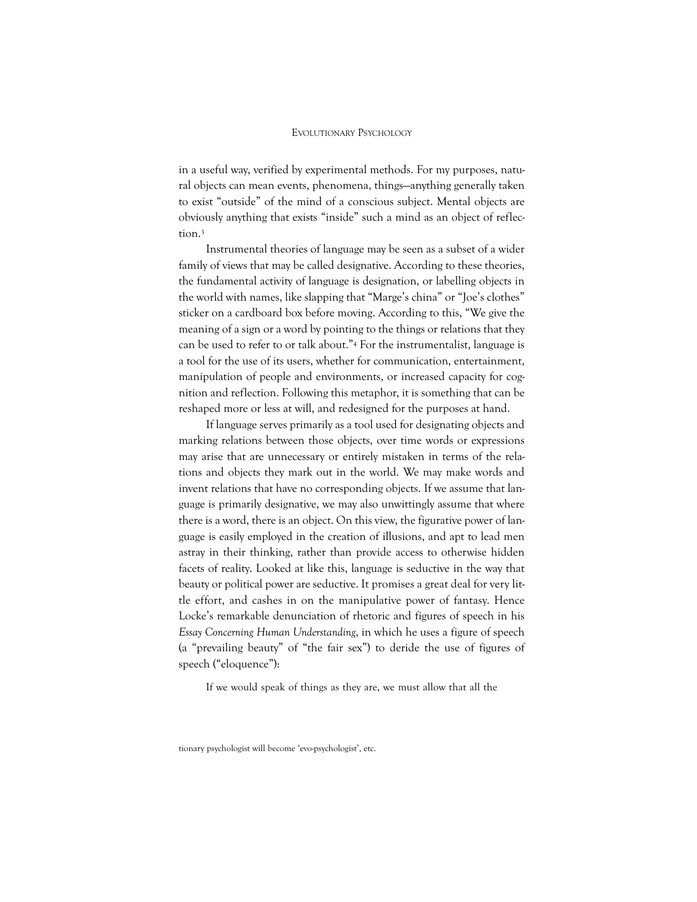in a useful way, verified by experimental methods. For my purposes, natural objects can mean events, phenomena, things—anything generally taken to exist "outside" of the mind of a conscious subject. Mental objects are obviously anything that exists "inside" such a mind as an object of reflection.<sup>3</sup>

Instrumental theories of language may be seen as a subset of a wider family of views that may be called designative. According to these theories, the fundamental activity of language is designation, or labelling objects in the world with names, like slapping that "Marge's china" or "Joe's clothes" sticker on a cardboard box before moving. According to this, "We give the meaning of a sign or a word by pointing to the things or relations that they can be used to refer to or talk about."<sup>4</sup> For the instrumentalist, language is a tool for the use of its users, whether for communication, entertainment, manipulation of people and environments, or increased capacity for cognition and reflection. Following this metaphor, it is something that can be reshaped more or less at will, and redesigned for the purposes at hand.

If language serves primarily as a tool used for designating objects and marking relations between those objects, over time words or expressions may arise that are unnecessary or entirely mistaken in terms of the relations and objects they mark out in the world. We may make words and invent relations that have no corresponding objects. If we assume that language is primarily designative, we may also unwittingly assume that where there is a word, there is an object. On this view, the figurative power of language is easily employed in the creation of illusions, and apt to lead men astray in their thinking, rather than provide access to otherwise hidden facets of reality. Looked at like this, language is seductive in the way that beauty or political power are seductive. It promises a great deal for very little effort, and cashes in on the manipulative power of fantasy. Hence Locke's remarkable denunciation of rhetoric and figures of speech in his Essay Concerning Human Understanding, in which he uses a figure of speech (a "prevailing beauty" of "the fair sex") to deride the use of figures of speech ("eloquence"):

If we would speak of things as they are, we must allow that all the

tionary psychologist will become 'evo-psychologist', etc.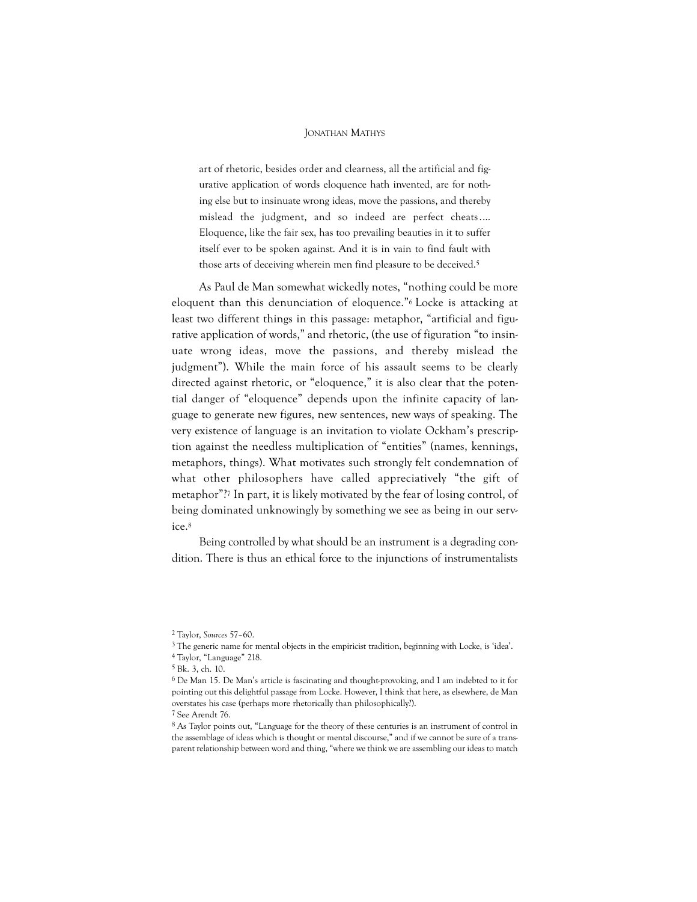art of rhetoric, besides order and clearness, all the artificial and figurative application of words eloquence hath invented, are for nothing else but to insinuate wrong ideas, move the passions, and thereby mislead the judgment, and so indeed are perfect cheats.… Eloquence, like the fair sex, has too prevailing beauties in it to suffer itself ever to be spoken against. And it is in vain to find fault with those arts of deceiving wherein men find pleasure to be deceived.<sup>5</sup>

As Paul de Man somewhat wickedly notes, "nothing could be more eloquent than this denunciation of eloquence."6 Locke is attacking at least two different things in this passage: metaphor, "artificial and figurative application of words," and rhetoric, (the use of figuration "to insinuate wrong ideas, move the passions, and thereby mislead the judgment"). While the main force of his assault seems to be clearly directed against rhetoric, or "eloquence," it is also clear that the potential danger of "eloquence" depends upon the infinite capacity of language to generate new figures, new sentences, new ways of speaking. The very existence of language is an invitation to violate Ockham's prescription against the needless multiplication of "entities" (names, kennings, metaphors, things). What motivates such strongly felt condemnation of what other philosophers have called appreciatively "the gift of metaphor"?<sup>7</sup> In part, it is likely motivated by the fear of losing control, of being dominated unknowingly by something we see as being in our service.<sup>8</sup>

Being controlled by what should be an instrument is a degrading condition. There is thus an ethical force to the injunctions of instrumentalists

<sup>2</sup> Taylor, Sources 57–60.

<sup>3</sup> The generic name for mental objects in the empiricist tradition, beginning with Locke, is 'idea'. 4 Taylor, "Language" 218.

<sup>5</sup> Bk. 3, ch. 10.

<sup>6</sup> De Man 15. De Man's article is fascinating and thought-provoking, and I am indebted to it for pointing out this delightful passage from Locke. However, I think that here, as elsewhere, de Man overstates his case (perhaps more rhetorically than philosophically?).

<sup>7</sup> See Arendt 76.

<sup>8</sup> As Taylor points out, "Language for the theory of these centuries is an instrument of control in the assemblage of ideas which is thought or mental discourse," and if we cannot be sure of a transparent relationship between word and thing, "where we think we are assembling our ideas to match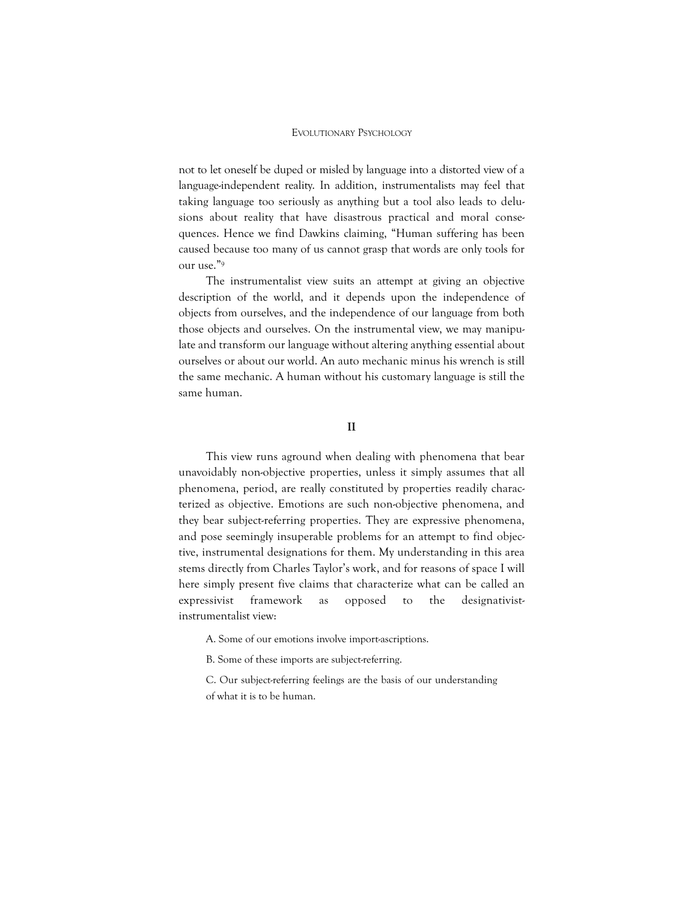not to let oneself be duped or misled by language into a distorted view of a language-independent reality. In addition, instrumentalists may feel that taking language too seriously as anything but a tool also leads to delusions about reality that have disastrous practical and moral consequences. Hence we find Dawkins claiming, "Human suffering has been caused because too many of us cannot grasp that words are only tools for our use."<sup>9</sup>

The instrumentalist view suits an attempt at giving an objective description of the world, and it depends upon the independence of objects from ourselves, and the independence of our language from both those objects and ourselves. On the instrumental view, we may manipulate and transform our language without altering anything essential about ourselves or about our world. An auto mechanic minus his wrench is still the same mechanic. A human without his customary language is still the same human.

## II

This view runs aground when dealing with phenomena that bear unavoidably non-objective properties, unless it simply assumes that all phenomena, period, are really constituted by properties readily characterized as objective. Emotions are such non-objective phenomena, and they bear subject-referring properties. They are expressive phenomena, and pose seemingly insuperable problems for an attempt to find objective, instrumental designations for them. My understanding in this area stems directly from Charles Taylor's work, and for reasons of space I will here simply present five claims that characterize what can be called an expressivist framework as opposed to the designativistinstrumentalist view:

A. Some of our emotions involve import-ascriptions.

B. Some of these imports are subject-referring.

C. Our subject-referring feelings are the basis of our understanding of what it is to be human.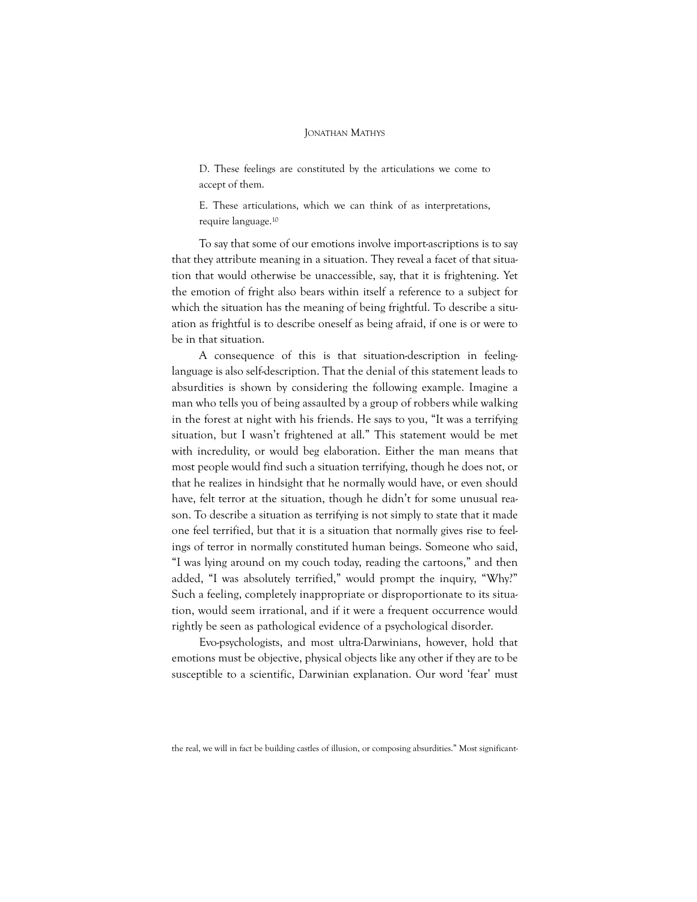D. These feelings are constituted by the articulations we come to accept of them.

E. These articulations, which we can think of as interpretations, require language.<sup>10</sup>

To say that some of our emotions involve import-ascriptions is to say that they attribute meaning in a situation. They reveal a facet of that situation that would otherwise be unaccessible, say, that it is frightening. Yet the emotion of fright also bears within itself a reference to a subject for which the situation has the meaning of being frightful. To describe a situation as frightful is to describe oneself as being afraid, if one is or were to be in that situation.

A consequence of this is that situation-description in feelinglanguage is also self-description. That the denial of this statement leads to absurdities is shown by considering the following example. Imagine a man who tells you of being assaulted by a group of robbers while walking in the forest at night with his friends. He says to you, "It was a terrifying situation, but I wasn't frightened at all." This statement would be met with incredulity, or would beg elaboration. Either the man means that most people would find such a situation terrifying, though he does not, or that he realizes in hindsight that he normally would have, or even should have, felt terror at the situation, though he didn't for some unusual reason. To describe a situation as terrifying is not simply to state that it made one feel terrified, but that it is a situation that normally gives rise to feelings of terror in normally constituted human beings. Someone who said, "I was lying around on my couch today, reading the cartoons," and then added, "I was absolutely terrified," would prompt the inquiry, "Why?" Such a feeling, completely inappropriate or disproportionate to its situation, would seem irrational, and if it were a frequent occurrence would rightly be seen as pathological evidence of a psychological disorder.

Evo-psychologists, and most ultra-Darwinians, however, hold that emotions must be objective, physical objects like any other if they are to be susceptible to a scientific, Darwinian explanation. Our word 'fear' must

the real, we will in fact be building castles of illusion, or composing absurdities." Most significant-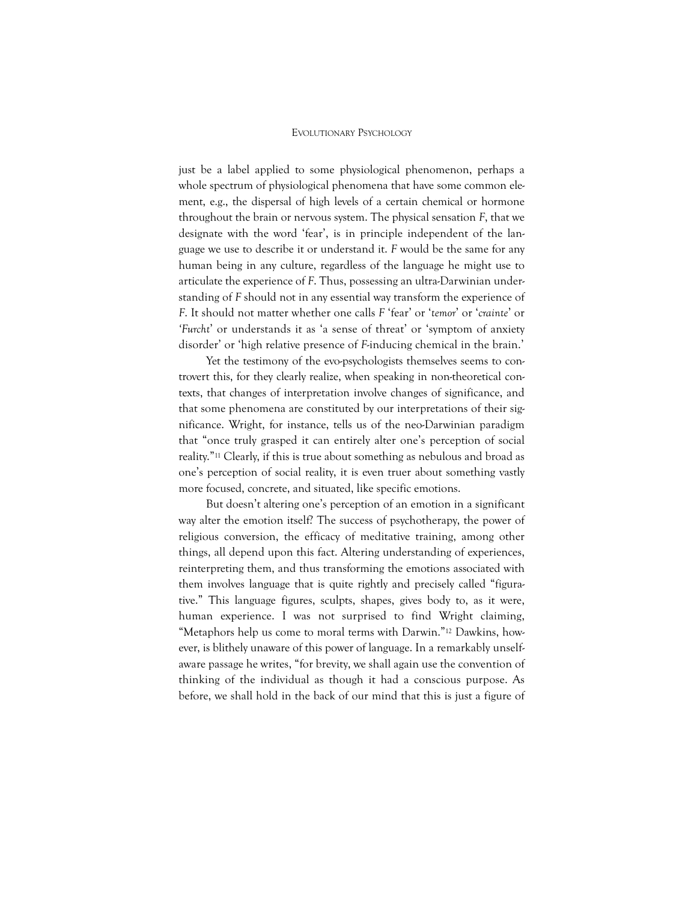just be a label applied to some physiological phenomenon, perhaps a whole spectrum of physiological phenomena that have some common element, e.g., the dispersal of high levels of a certain chemical or hormone throughout the brain or nervous system. The physical sensation F, that we designate with the word 'fear', is in principle independent of the language we use to describe it or understand it. F would be the same for any human being in any culture, regardless of the language he might use to articulate the experience of F. Thus, possessing an ultra-Darwinian understanding of F should not in any essential way transform the experience of F. It should not matter whether one calls F 'fear' or 'temor' or 'crainte' or 'Furcht' or understands it as 'a sense of threat' or 'symptom of anxiety disorder' or 'high relative presence of F-inducing chemical in the brain.'

Yet the testimony of the evo-psychologists themselves seems to controvert this, for they clearly realize, when speaking in non-theoretical contexts, that changes of interpretation involve changes of significance, and that some phenomena are constituted by our interpretations of their significance. Wright, for instance, tells us of the neo-Darwinian paradigm that "once truly grasped it can entirely alter one's perception of social reality."<sup>11</sup> Clearly, if this is true about something as nebulous and broad as one's perception of social reality, it is even truer about something vastly more focused, concrete, and situated, like specific emotions.

But doesn't altering one's perception of an emotion in a significant way alter the emotion itself? The success of psychotherapy, the power of religious conversion, the efficacy of meditative training, among other things, all depend upon this fact. Altering understanding of experiences, reinterpreting them, and thus transforming the emotions associated with them involves language that is quite rightly and precisely called "figurative." This language figures, sculpts, shapes, gives body to, as it were, human experience. I was not surprised to find Wright claiming, "Metaphors help us come to moral terms with Darwin."<sup>12</sup> Dawkins, however, is blithely unaware of this power of language. In a remarkably unselfaware passage he writes, "for brevity, we shall again use the convention of thinking of the individual as though it had a conscious purpose. As before, we shall hold in the back of our mind that this is just a figure of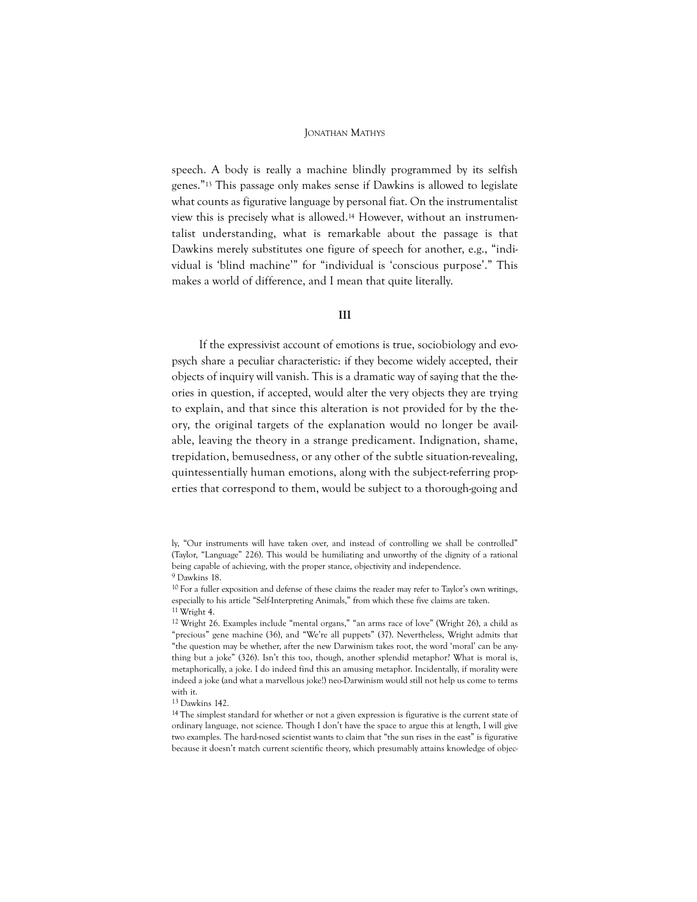speech. A body is really a machine blindly programmed by its selfish genes."<sup>13</sup> This passage only makes sense if Dawkins is allowed to legislate what counts as figurative language by personal fiat. On the instrumentalist view this is precisely what is allowed.<sup>14</sup> However, without an instrumentalist understanding, what is remarkable about the passage is that Dawkins merely substitutes one figure of speech for another, e.g., "individual is 'blind machine'" for "individual is 'conscious purpose'." This makes a world of difference, and I mean that quite literally.

#### III

If the expressivist account of emotions is true, sociobiology and evopsych share a peculiar characteristic: if they become widely accepted, their objects of inquiry will vanish. This is a dramatic way of saying that the theories in question, if accepted, would alter the very objects they are trying to explain, and that since this alteration is not provided for by the theory, the original targets of the explanation would no longer be available, leaving the theory in a strange predicament. Indignation, shame, trepidation, bemusedness, or any other of the subtle situation-revealing, quintessentially human emotions, along with the subject-referring properties that correspond to them, would be subject to a thorough-going and

ly, "Our instruments will have taken over, and instead of controlling we shall be controlled" (Taylor, "Language" 226). This would be humiliating and unworthy of the dignity of a rational being capable of achieving, with the proper stance, objectivity and independence. 9 Dawkins 18.

<sup>10</sup> For a fuller exposition and defense of these claims the reader may refer to Taylor's own writings, especially to his article "Self-Interpreting Animals," from which these five claims are taken. 11 Wright 4.

<sup>12</sup> Wright 26. Examples include "mental organs," "an arms race of love" (Wright 26), a child as "precious" gene machine (36), and "We're all puppets" (37). Nevertheless, Wright admits that "the question may be whether, after the new Darwinism takes root, the word 'moral' can be anything but a joke" (326). Isn't this too, though, another splendid metaphor? What is moral is, metaphorically, a joke. I do indeed find this an amusing metaphor. Incidentally, if morality were indeed a joke (and what a marvellous joke!) neo-Darwinism would still not help us come to terms with it.

<sup>13</sup> Dawkins 142.

<sup>14</sup> The simplest standard for whether or not a given expression is figurative is the current state of ordinary language, not science. Though I don't have the space to argue this at length, I will give two examples. The hard-nosed scientist wants to claim that "the sun rises in the east" is figurative because it doesn't match current scientific theory, which presumably attains knowledge of objec-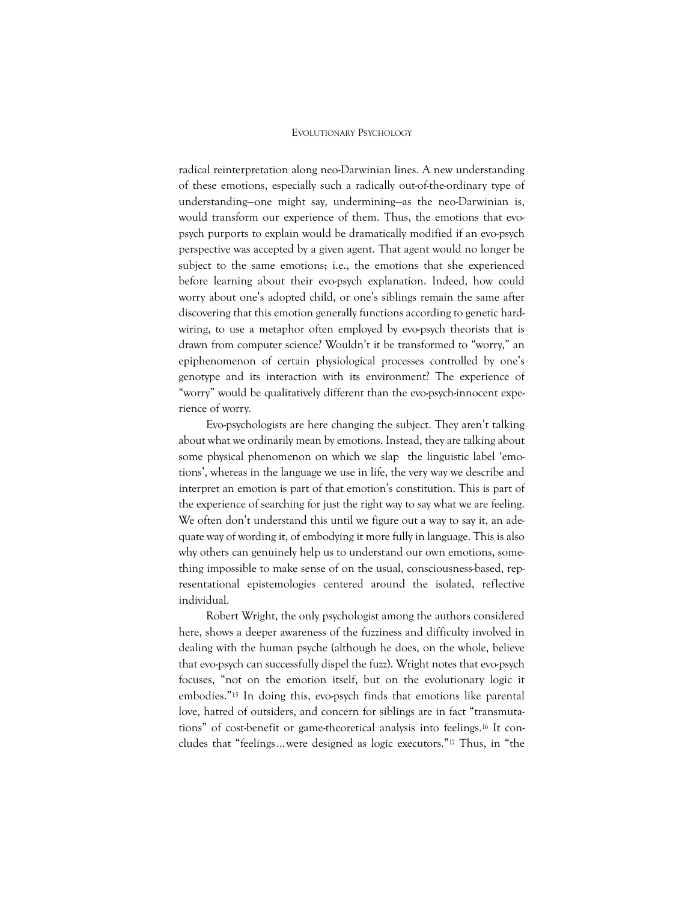radical reinterpretation along neo-Darwinian lines. A new understanding of these emotions, especially such a radically out-of-the-ordinary type of understanding—one might say, undermining—as the neo-Darwinian is, would transform our experience of them. Thus, the emotions that evopsych purports to explain would be dramatically modified if an evo-psych perspective was accepted by a given agent. That agent would no longer be subject to the same emotions; i.e., the emotions that she experienced before learning about their evo-psych explanation. Indeed, how could worry about one's adopted child, or one's siblings remain the same after discovering that this emotion generally functions according to genetic hardwiring, to use a metaphor often employed by evo-psych theorists that is drawn from computer science? Wouldn't it be transformed to "worry," an epiphenomenon of certain physiological processes controlled by one's genotype and its interaction with its environment? The experience of "worry" would be qualitatively different than the evo-psych-innocent experience of worry.

Evo-psychologists are here changing the subject. They aren't talking about what we ordinarily mean by emotions. Instead, they are talking about some physical phenomenon on which we slap the linguistic label 'emotions', whereas in the language we use in life, the very way we describe and interpret an emotion is part of that emotion's constitution. This is part of the experience of searching for just the right way to say what we are feeling. We often don't understand this until we figure out a way to say it, an adequate way of wording it, of embodying it more fully in language. This is also why others can genuinely help us to understand our own emotions, something impossible to make sense of on the usual, consciousness-based, representational epistemologies centered around the isolated, reflective individual.

Robert Wright, the only psychologist among the authors considered here, shows a deeper awareness of the fuzziness and difficulty involved in dealing with the human psyche (although he does, on the whole, believe that evo-psych can successfully dispel the fuzz). Wright notes that evo-psych focuses, "not on the emotion itself, but on the evolutionary logic it embodies."<sup>15</sup> In doing this, evo-psych finds that emotions like parental love, hatred of outsiders, and concern for siblings are in fact "transmutations" of cost-benefit or game-theoretical analysis into feelings.<sup>16</sup> It concludes that "feelings…were designed as logic executors."<sup>17</sup> Thus, in "the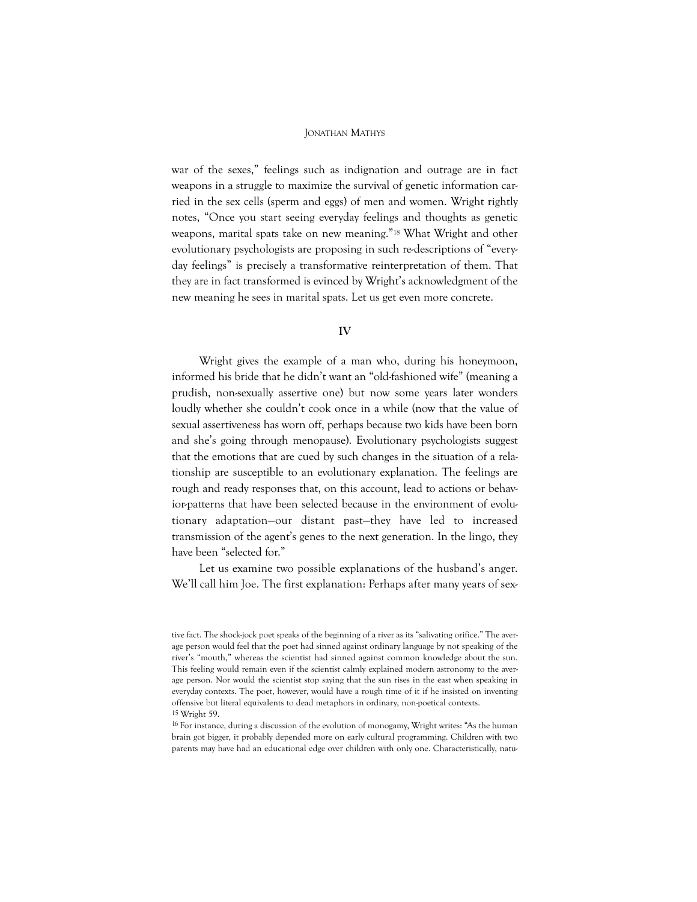war of the sexes," feelings such as indignation and outrage are in fact weapons in a struggle to maximize the survival of genetic information carried in the sex cells (sperm and eggs) of men and women. Wright rightly notes, "Once you start seeing everyday feelings and thoughts as genetic weapons, marital spats take on new meaning."<sup>18</sup> What Wright and other evolutionary psychologists are proposing in such re-descriptions of "everyday feelings" is precisely a transformative reinterpretation of them. That they are in fact transformed is evinced by Wright's acknowledgment of the new meaning he sees in marital spats. Let us get even more concrete.

#### IV

Wright gives the example of a man who, during his honeymoon, informed his bride that he didn't want an "old-fashioned wife" (meaning a prudish, non-sexually assertive one) but now some years later wonders loudly whether she couldn't cook once in a while (now that the value of sexual assertiveness has worn off, perhaps because two kids have been born and she's going through menopause). Evolutionary psychologists suggest that the emotions that are cued by such changes in the situation of a relationship are susceptible to an evolutionary explanation. The feelings are rough and ready responses that, on this account, lead to actions or behavior-patterns that have been selected because in the environment of evolutionary adaptation—our distant past—they have led to increased transmission of the agent's genes to the next generation. In the lingo, they have been "selected for."

Let us examine two possible explanations of the husband's anger. We'll call him Joe. The first explanation: Perhaps after many years of sex-

tive fact. The shock-jock poet speaks of the beginning of a river as its "salivating orifice." The average person would feel that the poet had sinned against ordinary language by not speaking of the river's "mouth," whereas the scientist had sinned against common knowledge about the sun. This feeling would remain even if the scientist calmly explained modern astronomy to the average person. Nor would the scientist stop saying that the sun rises in the east when speaking in everyday contexts. The poet, however, would have a rough time of it if he insisted on inventing offensive but literal equivalents to dead metaphors in ordinary, non-poetical contexts. 15 Wright 59.

<sup>16</sup> For instance, during a discussion of the evolution of monogamy, Wright writes: "As the human brain got bigger, it probably depended more on early cultural programming. Children with two parents may have had an educational edge over children with only one. Characteristically, natu-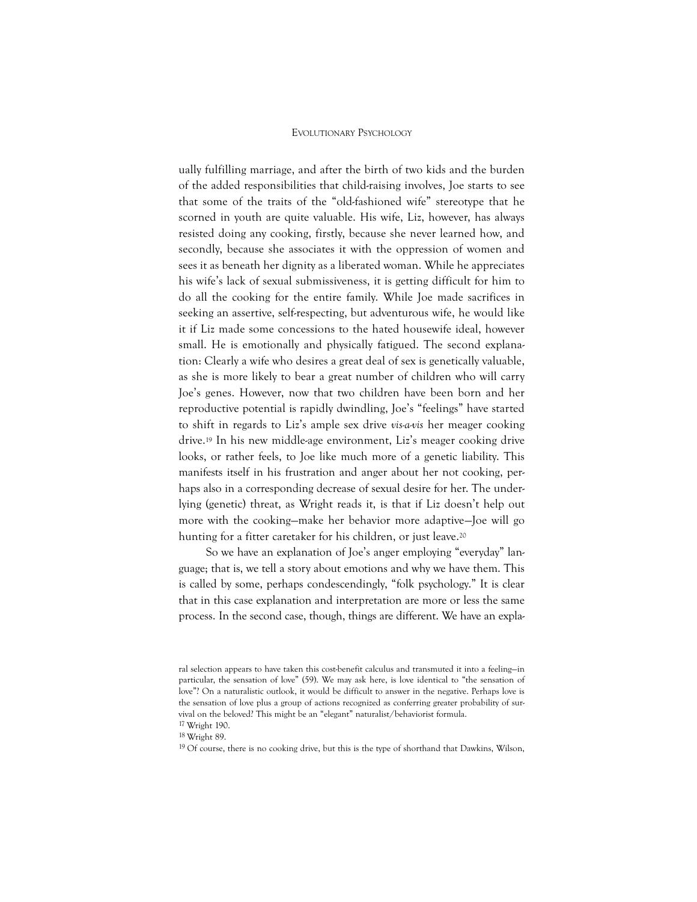ually fulfilling marriage, and after the birth of two kids and the burden of the added responsibilities that child-raising involves, Joe starts to see that some of the traits of the "old-fashioned wife" stereotype that he scorned in youth are quite valuable. His wife, Liz, however, has always resisted doing any cooking, firstly, because she never learned how, and secondly, because she associates it with the oppression of women and sees it as beneath her dignity as a liberated woman. While he appreciates his wife's lack of sexual submissiveness, it is getting difficult for him to do all the cooking for the entire family. While Joe made sacrifices in seeking an assertive, self-respecting, but adventurous wife, he would like it if Liz made some concessions to the hated housewife ideal, however small. He is emotionally and physically fatigued. The second explanation: Clearly a wife who desires a great deal of sex is genetically valuable, as she is more likely to bear a great number of children who will carry Joe's genes. However, now that two children have been born and her reproductive potential is rapidly dwindling, Joe's "feelings" have started to shift in regards to Liz's ample sex drive vis-a-vis her meager cooking drive.<sup>19</sup> In his new middle-age environment, Liz's meager cooking drive looks, or rather feels, to Joe like much more of a genetic liability. This manifests itself in his frustration and anger about her not cooking, perhaps also in a corresponding decrease of sexual desire for her. The underlying (genetic) threat, as Wright reads it, is that if Liz doesn't help out more with the cooking—make her behavior more adaptive—Joe will go hunting for a fitter caretaker for his children, or just leave.<sup>20</sup>

So we have an explanation of Joe's anger employing "everyday" language; that is, we tell a story about emotions and why we have them. This is called by some, perhaps condescendingly, "folk psychology." It is clear that in this case explanation and interpretation are more or less the same process. In the second case, though, things are different. We have an expla-

17 Wright 190.

ral selection appears to have taken this cost-benefit calculus and transmuted it into a feeling—in particular, the sensation of love" (59). We may ask here, is love identical to "the sensation of love"? On a naturalistic outlook, it would be difficult to answer in the negative. Perhaps love is the sensation of love plus a group of actions recognized as conferring greater probability of survival on the beloved? This might be an "elegant" naturalist/behaviorist formula.

 $18$  W<sub>right</sub> 89.

<sup>19</sup> Of course, there is no cooking drive, but this is the type of shorthand that Dawkins, Wilson,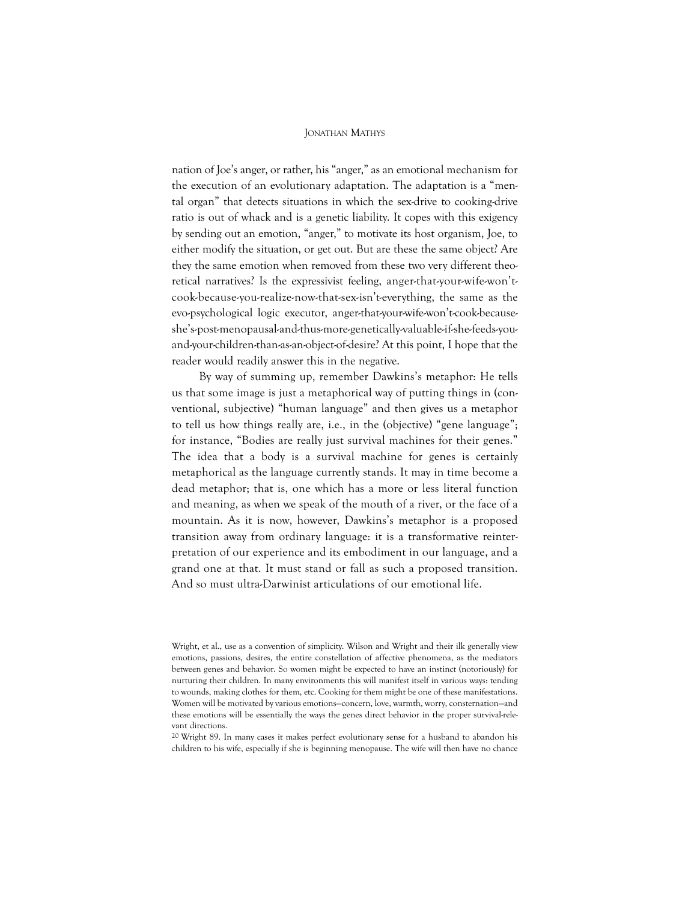nation of Joe's anger, or rather, his "anger," as an emotional mechanism for the execution of an evolutionary adaptation. The adaptation is a "mental organ" that detects situations in which the sex-drive to cooking-drive ratio is out of whack and is a genetic liability. It copes with this exigency by sending out an emotion, "anger," to motivate its host organism, Joe, to either modify the situation, or get out. But are these the same object? Are they the same emotion when removed from these two very different theoretical narratives? Is the expressivist feeling, anger-that-your-wife-won'tcook-because-you-realize-now-that-sex-isn't-everything, the same as the evo-psychological logic executor, anger-that-your-wife-won't-cook-becauseshe's-post-menopausal-and-thus-more-genetically-valuable-if-she-feeds-youand-your-children-than-as-an-object-of-desire? At this point, I hope that the reader would readily answer this in the negative.

By way of summing up, remember Dawkins's metaphor: He tells us that some image is just a metaphorical way of putting things in (conventional, subjective) "human language" and then gives us a metaphor to tell us how things really are, i.e., in the (objective) "gene language"; for instance, "Bodies are really just survival machines for their genes." The idea that a body is a survival machine for genes is certainly metaphorical as the language currently stands. It may in time become a dead metaphor; that is, one which has a more or less literal function and meaning, as when we speak of the mouth of a river, or the face of a mountain. As it is now, however, Dawkins's metaphor is a proposed transition away from ordinary language: it is a transformative reinterpretation of our experience and its embodiment in our language, and a grand one at that. It must stand or fall as such a proposed transition. And so must ultra-Darwinist articulations of our emotional life.

20 Wright 89. In many cases it makes perfect evolutionary sense for a husband to abandon his children to his wife, especially if she is beginning menopause. The wife will then have no chance

Wright, et al., use as a convention of simplicity. Wilson and Wright and their ilk generally view emotions, passions, desires, the entire constellation of affective phenomena, as the mediators between genes and behavior. So women might be expected to have an instinct (notoriously) for nurturing their children. In many environments this will manifest itself in various ways: tending to wounds, making clothes for them, etc. Cooking for them might be one of these manifestations. Women will be motivated by various emotions—concern, love, warmth, worry, consternation—and these emotions will be essentially the ways the genes direct behavior in the proper survival-relevant directions.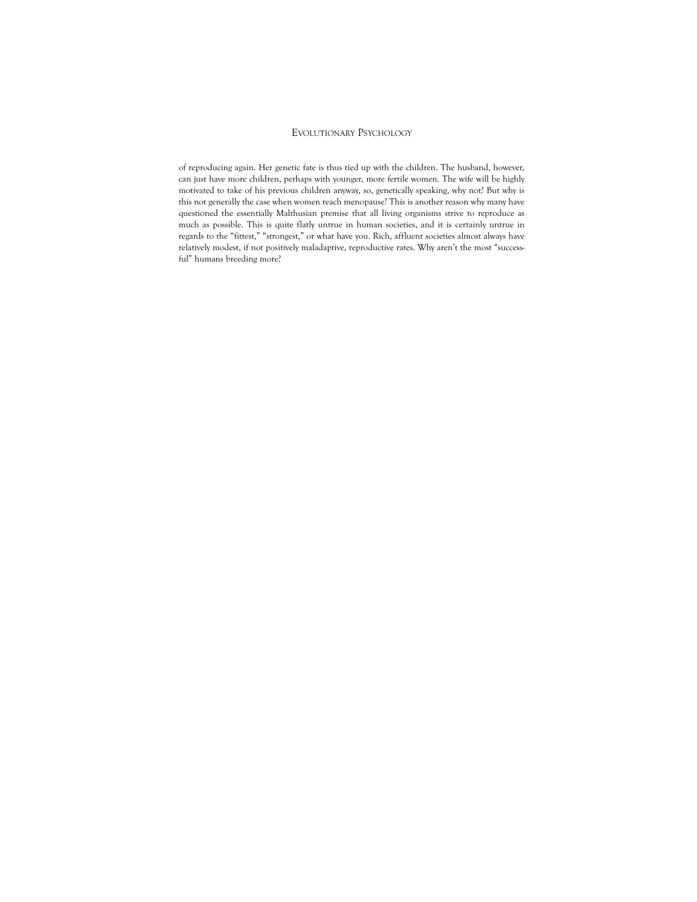of reproducing again. Her genetic fate is thus tied up with the children. The husband, however, can just have more children, perhaps with younger, more fertile women. The wife will be highly motivated to take of his previous children anyway, so, genetically speaking, why not? But why is this not generally the case when women reach menopause? This is another reason why many have questioned the essentially Malthusian premise that all living organisms strive to reproduce as much as possible. This is quite flatly untrue in human societies, and it is certainly untrue in regards to the "fittest," "strongest," or what have you. Rich, affluent societies almost always have relatively modest, if not positively maladaptive, reproductive rates. Why aren't the most "successful" humans breeding more?